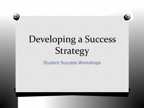# Developing a Success Strategy

Student Success Workshops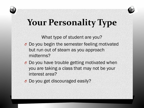# **Your Personality Type**

What type of student are you?

- *O* Do you begin the semester feeling motivated but run out of steam as you approach midterms?
- *O* Do you have trouble getting motivated when you are taking a class that may not be your interest area?
- *O* Do you get discouraged easily?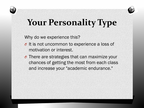# **Your Personality Type**

#### Why do we experience this?

- *O* It is not uncommon to experience a loss of motivation or interest.
- *O* There are strategies that can maximize your chances of getting the most from each class and increase your "academic endurance."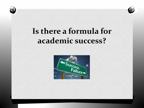## **Is there a formula for academic success?**

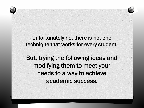Unfortunately no, there is not one technique that works for every student.

But, trying the following ideas and modifying them to meet your needs to a way to achieve academic success.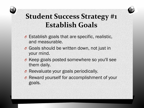## **Student Success Strategy #1 Establish Goals**

- *O* Establish goals that are specific, realistic, and measurable.
- *O* Goals should be written down, not just in your mind.
- *O* Keep goals posted somewhere so you'll see them daily.
- *O* Reevaluate your goals periodically.
- *O* Reward yourself for accomplishment of your goals.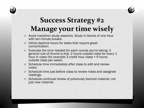## **Success Strategy #2 Manage your time wisely**

- *O* Avoid marathon study sessions. Study in blocks of one hour with ten-minute breaks.
- *O* Utilize daytime hours for tasks that require great concentration.
- *O* Evaluate the time needed for each course you're taking. A general rule of thumb is this: 2 hours outside class for every 1 hour in class (for example 3 credit hour class = 6 hours outside class per week).
- *O* Schedule time immediately after class to edit and review notes.
- *O* Schedule time just before class to review notes and assigned readings.
- *O* Schedule continual review of previously learned material, not just new material.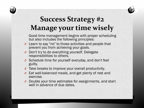## **Success Strategy #2 Manage your time wisely**

Good time management begins with proper scheduling but also includes the following principles:

- *O* Learn to say "no" to those activities and people that prevent you from achieving your goals.
- *O* Don't try to do everything yourself. Delegate responsibilities to others.
- *O* Schedule time for yourself everyday, and don't feel guilty.
- *O* Take breaks to improve your overall productivity.
- *O* Eat well-balanced meals, and get plenty of rest and exercise.
- *O* Double your time estimates for assignments, and start well in advance of due dates.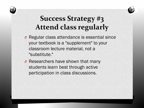## **Success Strategy #3 Attend class regularly**

- *O* Regular class attendance is essential since your textbook is a "supplement" to your classroom lecture material, not a "substitute."
- *O* Researchers have shown that many students learn best through active participation in class discussions.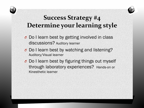## **Success Strategy #4 Determine your learning style**

- *O* Do I learn best by getting involved in class discussions? Auditory learner
- *O* Do I learn best by watching and listening? Auditory/Visual learner
- *O* Do I learn best by figuring things out myself through laboratory experiences? Hands-on or Kinesthetic learner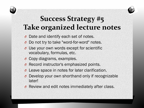## **Success Strategy #5 Take organized lecture notes**

- *O* Date and identify each set of notes.
- *O* Do not try to take "word-for-word" notes.
- *O* Use your own words except for scientific vocabulary, formulas, etc.
- *O* Copy diagrams, examples.
- *O* Record instructor's emphasized points.
- *O* Leave space in notes for later clarification.
- *O* Develop your own shorthand only if recognizable later!
- *O* Review and edit notes immediately after class.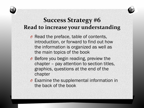## **Success Strategy #6 Read to increase your understanding**

*O* Read the preface, table of contents, introduction, or forward to find out how the information is organized as well as the main topics of the book

- *O* Before you begin reading, preview the chapter – pay attention to section titles, graphics, questions at the end of the chapter
- *O* Examine the supplemental information in the back of the book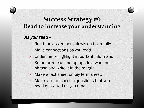## **Success Strategy #6 Read to increase your understanding**

#### *As you read -*

- Read the assignment slowly and carefully.
- Make connections as you read.
- Underline or highlight important information
- Summarize each paragraph in a word or phrase and write it in the margin.
- Make a fact sheet or key term sheet.
- Make a list of specific questions that you need answered as you read.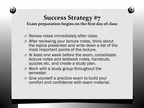### **Success Strategy #7 Exam preparation begins on the first day of class**

- *O* Review notes immediately after class
- *O* After reviewing your lecture notes, think about the topics presented and write down a list of the most important points of the lecture.
- *O* At least one week before the exam, consolidate lecture notes and textbook notes, handouts, quizzes etc. and create a study plan.
- *O* Work with a study group throughout the semester.
- *O* Give yourself a practice exam to build your comfort and confidence with exam material.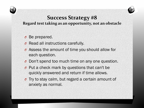## **Success Strategy #8**

## **Regard test taking as an opportunity, not an obstacle**

### *O* Be prepared.

- *O* Read all instructions carefully.
- *O* Assess the amount of time you should allow for each question.
- *O* Don't spend too much time on any one question.
- *O* Put a check mark by questions that can't be quickly answered and return if time allows.
- *O* Try to stay calm, but regard a certain amount of anxiety as normal.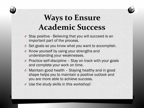# **Ways to Ensure Academic Success**

- *O* Stay positive Believing that you will succeed is an important part of the process.
- *O* Set goals so you know what you want to accomplish.
- *O* Know yourself by using your strengths and understanding your weaknesses.
- *O* Practice self-discipline Stay on track with your goals and complete your work on time.
- *O* Maintain good health Staying healthy and in good shape helps you to maintain a positive outlook and you are more able to achieve success.
- *O* Use the study skills in this workshop!